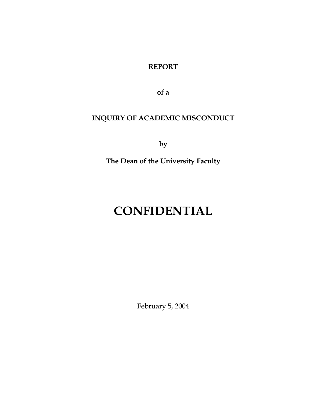**REPORT** 

**of a** 

## **INQUIRY OF ACADEMIC MISCONDUCT**

**by** 

**The Dean of the University Faculty** 

## **CONFIDENTIAL**

February 5, 2004